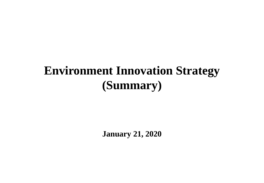# **Environment Innovation Strategy (Summary)**

**January 21, 2020**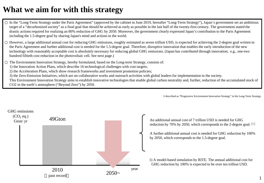## **What we aim for with this strategy**

In the "Long-Term Strategy under the Paris Agreement" (approved by the cabinet in June 2019, hereafter "Long-Term Strategy"), Japan's government set an ambitious target of a "decarbonized society" as a final goal that should be achieved as early as possible in the last half of the twenty-first century. The government stated the drastic actions required for realizing an 80% reduction of GHG by 2050. Moreover, the government clearly expressed Japan's contribution to the Paris Agreement including the 1.5-degree goal by sharing Japan's mind and actions in the world.

However, a large additional annual cost for reducing GHG emissions, roughly estimated as seven trillion USD, is expected for achieving the 2-degree goal written in the Paris Agreement and further additional cost is needed for the 1.5-degree goal. Therefore, disruptive innovation that enables the early introduction of the new technology with reasonably acceptable cost is absolutely necessary for reducing global GHG emissions. (Japan has contributed through innovation; e.g., one-two hundred fiftieth cost reduction in the photovoltaic cell. See next page.)

The Environment Innovation Strategy, hereby formulated, based on the Long-term Strategy, consists of:

1) the Innovation Action Plans, which describe 16 technological challenges with cost targets;

2) the Acceleration Plans, which show research frameworks and investment promotion policies;

3) the Zero-Emission Initiatives, which are on collaborative works and outreach activities with global leaders for implementation in the society.

This Environment Innovation Strategy aims to establish innovative technologies that enable global carbon neutrality and, further, reduction of the accumulated stock of CO2 in the earth's atmosphere ("Beyond Zero") by 2050.

※described as "Progressive Environment Innovation Strategy" in the Long-Term Strategy.



reduction by 70% by 2050, which corresponds to the 2-degree goal.

A further additional annual cost is needed for GHG reduction by 100% by 2050, which corresponds to the 1.5-degree goal.

1) A model-based simulation by RITE. The annual additional cost for GHG reduction by 100% is expected to be over ten trillion USD.

1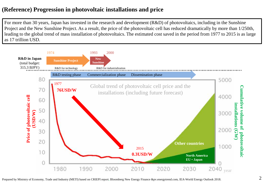### **(Reference) Progression in photovoltaic installations and price**

For more than 30 years, Japan has invested in the research and development (R&D) of photovoltaics, including in the Sunshine Project and the New Sunshine Project. As a result, the price of the photovoltaic cell has reduced dramatically by more than 1/250th, leading to the global trend of mass installation of photovoltaics. The estimated cost saved in the period from 1977 to 2015 is as large as 17 trillion USD.

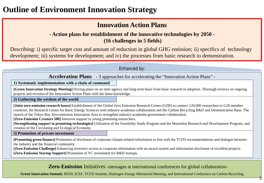## **Outline of Environment Innovation Strategy**

### **Innovation Action Plans**

#### **- Action plans for establishment of the innovative technologies by 2050 - (16 challenges in 5 fields)**

Describing: i) specific target cost and amount of reduction in global GHG emission; ii) specifics of technology development; iii) systems for development; and iv) the processes from basic research to demonstration.

#### Enhanced by:

**Acceleration Plans** - 3 approaches for accelerating the "Innovation Action Plans" -

**1) Systematic implementation with a chain of command**

**[Green Innovation Strategy Meeting]** Driving plans on an inter-agency and long-term basis from basic research to adoption. Thorough reviews on ongoing projects and revision of the Innovation Action Plans with the latest knowledge.

**2) Gathering the wisdom of the world**

**[Joint zero-emission research bases]** Establishment of the Global Zero Emission Research Center (GZR) to connect 120,000 researchers in G20 member countries, the Research Center for Basic Energy Sciences with industry-academia collaboration and the Carbon Recycling R&D and Demonstration Base. The launch of the Tokyo Bay Zero-emission Innovation Area to strengthen industry-academia-government collaboration.

**[Zero-Emission Creators 500]** Intensive support to young promising researchers.

**[Strengthening support to promising technologies]** Utilization of the Feasibility Study Program and the Moonshot Research and Development Program, and creation of the Circulating and Ecological Economy.

**3) Promotion of private investment**

**[Promoting green finance]** Promotion of disclosure of corporate climate-related information in line with the TCFD recommendations and dialogue between the industry and the financial community.

**[Zero-Emission Challenge]** Enhancing investors' access to corporate information with an award system and information disclosure of excellent projects **[Zero-Emission Startup Support]** Promotion of VC investment for R&D startups.

**Zero-Emission** Initiatives -messages at international conferences for global collaboration-

3

**Green Innovation Summit**, RD20, ICEF, TCFD Summit, Hydrogen Energy Ministerial Meeting, and International Conference on Carbon Recycling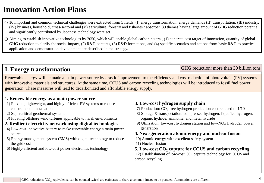## **Innovation Action Plans**

16 important and common technical challenges were extracted from 5 fields; (I) energy transformation, energy demands (II) transportation, (III) industry, (IV) business, household, cross-sectoral and (V) agriculture, forestry and fisheries / absorber. 39 themes having large amount of GHG reduction potential and significantly contributed by Japanese technology were set.

Aiming to establish innovative technologies by 2050, which will enable global carbon neutral, (1) concrete cost target of innovation, quantity of global GHG reduction to clarify the social impact, (2) R&D contents, (3) R&D formations, and (4) specific scenarios and actions from basic R&D to practical application and demonstration development are described in the strategy.

### **I. Energy transformation**

Renewable energy will be made a main power source by drastic improvement to the efficiency and cost reduction of photovoltaic (PV) systems with innovative materials and structures. At the same time, CCUS and carbon recycling technologies will be introduced to fossil fuel power generation. These measures will lead to decarbonized and affordable energy supply.

#### **1. Renewable energy as a main power source**

- 1) Flexible, lightweight, and highly efficient PV systems to reduce constraints on installation
- 2) Supercritical geothermal systems
- 3) Floating offshore wind turbines applicable to harsh environments

#### **2. Resilient electricity network using digital technologies**

- 4) Low-cost innovative battery to make renewable energy a main power source
- 5) Energy management system (EMS) with digital technology to reduce the grid cost
- 6) Highly-efficient and low-cost power electronics technology

#### **3. Low-cost hydrogen supply chain**

- 7) Production:  $CO<sub>2</sub>$ -free hydrogen production cost reduced to  $1/10$
- 8) Storage & transportation: compressed hydrogen, liquefied hydrogen, organic hydride, ammonia, and metal hydride

GHG reduction: more than 30 billion tons

9) Utilization: low-cost hydrogen station and low-NOx hydrogen power generation

#### **4. Next-generation atomic energy and nuclear fusion**

- 10) Atomic energy with excellent safety system
- 11) Nuclear fusion
- **5.** Low-cost CO<sub>2</sub> capture for CCUS and carbon recycling

12) Establishment of low-cost  $CO<sub>2</sub>$  capture technology for CCUS and carbon recycling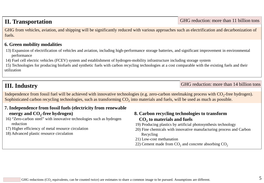### **II. Transportation**

GHG from vehicles, aviation, and shipping will be significantly reduced with various approaches such as electrification and decarbonization of fuels.

#### **6. Green mobility modalities**

- 13) Expansion of electrification of vehicles and aviation, including high-performance storage batteries, and significant improvement in environmental performance
- 14) Fuel cell electric vehicles (FCEV) system and establishment of hydrogen-mobility infrastructure including storage system

15) Technologies for producing biofuels and synthetic fuels with carbon recycling technologies at a cost comparable with the existing fuels and their utilization

### **III. Industry**

GHG reduction: more than 14 billion tons

GHG reduction: more than 11 billion tons

Independence from fossil fuel will be achieved with innovative technologies (e.g. zero-carbon steelmaking process with  $CO<sub>2</sub>$ -free hydrogen). Sophisticated carbon recycling technologies, such as transforming  $CO<sub>2</sub>$  into materials and fuels, will be used as much as possible.

#### **7. Independence from fossil fuels (electricity from renewable**  energy and CO<sub>2</sub>-free hydrogen)

- 16) "Zero-carbon steel" with innovative technologies such as hydrogen reduction
- 17) Higher efficiency of metal resource circulation
- 18) Advanced plastic resource circulation

#### **8. Carbon recycling technologies to transform CO2 to materials and fuels**

- 19) Producing plastics by artificial photosynthesis technology
- 20) Fine chemicals with innovative manufacturing process and Carbon Recycling
- 21) Low-cost methanation
- 22) Cement made from  $CO<sub>2</sub>$  and concrete absorbing  $CO<sub>2</sub>$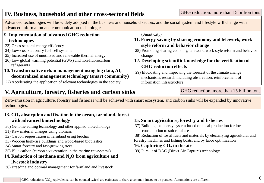#### GHG reductions (CO<sub>2</sub> equivalents, can be counted twice) are estimates to share a common image to be pursued. Assumptions are different.  $6$

### **IV. Business, household and other cross-sectoral fields**

Advanced technologies will be widely adopted in the business and household sectors, and the social system and lifestyle will change with advanced information and communication technologies.

#### **9. Implementation of advanced GHG reduction technologies**

- 23) Cross-sectoral energy efficiency
- 24) Low-cost stationary fuel cell systems
- 25) Increased use of unutilized and renewable thermal energy
- 26) Low global warming potential (GWP) and non-fluorocarbon refrigerants

#### **10. Transformative urban management using big data, AI, decentralized management technology (smart community)**

27) Accelerating the application of relevant technologies in the society

## **V. Agriculture, forestry, fisheries and carbon sinks**

Zero-emission in agriculture, forestry and fisheries will be achieved with smart ecosystem, and carbon sinks will be expanded by innovative technologies.

#### 13. CO<sub>2</sub> absorption and fixation in the ocean, farmland, forest **with advanced biotechnology**

- 30) Genome editing technology and other applied biotechnology
- 31) Raw material changes using biomass
- 32) Carbon sequestration in farmland using biochar
- 33) Wooden high-rise buildings and wood-based bioplastics
- 34) Smart forestry and fast-growing trees
- 35) Blue carbon (carbon sequestration in the marine ecosystems)

### 14. Reduction of methane and N<sub>2</sub>O from agriculture and **livestock industry**

36) Breeding and optimal management for farmland and livestock

#### (Smart City)

- **11. Energy saving by sharing economy and telework, work style reform and behavior change**
- 28) Promoting sharing economy, telework, work style reform and behavior change
- **12. Developing scientific knowledge for the verification of GHG reduction effects**
- 29) Elucidating and improving the forecast of the climate change mechanism, research including observation, reinforcement of information infrastructure

#### GHG reduction: more than 15 billion tons

## **15. Smart agriculture, forestry and fisheries**

37) Building the energy system based on local production for local consumption to suit rural areas

38) Reduction of fossil fuels and materials by electrifying agricultural and forestry machines and fishing boats, and by labor optimization

### 16. Capturing CO<sub>2</sub> in the air

39) Pursuit of DAC (Direct Air Capture) technology

#### GHG reduction: more than 15 billion tons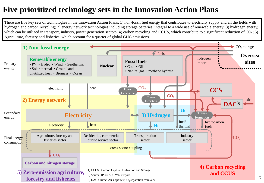## **Five prioritized technology sets in the Innovation Action Plans**

There are five key sets of technologies in the Innovation Action Plans: 1) non-fossil fuel energy that contributes to electricity supply and all the fields with hydrogen and carbon recycling; 2) energy network technologies including storage batteries, integral to a wide use of renewable energy; 3) hydrogen energy, which can be utilized in transport, industry, power generation sectors; 4) carbon recycling and CCUS, which contribute to a significant reduction of  $CO_2$ ; 5) Agriculture, forestry and fisheries, which account for a quarter of global GHG emissions.

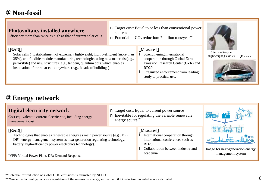### **Non-fossil**

#### **Photovoltaics installed anywhere** Efficiency more than twice as high as that of current solar cells R&D **I** Solar cells: Establishment of extremely lightweight, highly-efficient (more than 35%), and flexible module manufacturing technologies using new materials (e.g., perovskite) and new structures (e.g., tandem, quantum dot), which enables installation of the solar cells anywhere (e.g., facade of buildings). n Target cost: Equal to or less than conventional power sources **n** Potential of  $CO<sub>2</sub>$  reduction: 7 billion tons/year\*\* Measures **I** Strengthening international cooperation through Global Zero Emission Research Center (GZR) and RD20. **l** Organized enforcement from leading study to practical use. ↑Perovskite-type (lightweight flexible)  $\downarrow$  For cars

### **Energy network**

| <b>Digital electricity network</b><br>Cost equivalent to current electric rate, including energy<br>management cost                                                                                                                   | <b>n</b> Target cost: Equal to current power source<br><b>n</b> Inevitable for regulating the variable renewable<br>energy source*** |                                                                                                                 |                                                       |
|---------------------------------------------------------------------------------------------------------------------------------------------------------------------------------------------------------------------------------------|--------------------------------------------------------------------------------------------------------------------------------------|-----------------------------------------------------------------------------------------------------------------|-------------------------------------------------------|
| R&D<br>Technologies that enables renewable energy as main power source (e.g., VPP,<br>DR <sup>*</sup> , energy management system as next-generation regulating technology,<br>battery, high-efficiency power electronics technology). |                                                                                                                                      | <b>Measures</b><br>International cooperation through<br>international conferences such as<br>RD <sub>20</sub> . | $\Rightarrow$ $\frac{1}{2}$ mass $\Rightarrow$        |
| *VPP: Virtual Power Plant, DR: Demand Response                                                                                                                                                                                        |                                                                                                                                      | Collaboration between industry and<br>academia.                                                                 | Image for next-generation energy<br>management system |

\*\*Potential for reduction of global GHG emissions is estimated by NEDO.

\*\*\*Since the technology acts as a regulation of the renewable energy, individual GHG reduction potential is not calculated. 8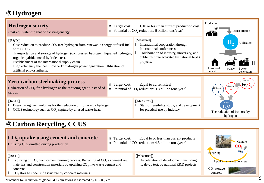## **Hydrogen**

| <b>Hydrogen society</b><br>Cost equivalent to that of existing energy                                                                                                                                                                                                                                                                                                                                     | $1/10$ or less than current production cost<br><b>n</b> Target cost:<br><b>n</b> Potential of $CO_2$ reduction: 6 billion tons/year*         |                                                                                                                                                                                             | Production<br>Transportation                                                      |
|-----------------------------------------------------------------------------------------------------------------------------------------------------------------------------------------------------------------------------------------------------------------------------------------------------------------------------------------------------------------------------------------------------------|----------------------------------------------------------------------------------------------------------------------------------------------|---------------------------------------------------------------------------------------------------------------------------------------------------------------------------------------------|-----------------------------------------------------------------------------------|
| R&D<br>Cost reduction to produce $CO_2$ -free hydrogen from renewable energy or fossil fuel<br>with CCUS.<br>Transportation and storage of hydrogen (compressed hydrogen, liquefied hydrogen,<br>organic hydride, metal hydride, etc.).<br>Establishment of the international supply chain.<br>High efficiency fuel cell. Low NOx hydrogen power generation. Utilization of<br>artificial photosynthesis. |                                                                                                                                              | <b>Measures</b><br>International cooperation through<br>International conferences.<br>Collaboration of industry, university, and<br>public institute activated by national R&D<br>projects. | Н,<br>Utilization<br>Household<br><b>FCEV</b><br>Power<br>fuel cell<br>generation |
| <b>Zero-carbon steelmaking process</b><br>Utilization of $CO_2$ -free hydrogen as the reducing agent instead of<br>carbon                                                                                                                                                                                                                                                                                 | <b>n</b> Target cost:                                                                                                                        | Equal to current steel<br><b>n</b> Potential of CO <sub>2</sub> reduction: 3.8 billion tons/year*                                                                                           | Iron ore<br>Fe <sub>2</sub> O<br>Oxygen<br>Hydrogen<br>$\cup$<br>H                |
| R&D<br>Breakthrough technologies for the reduction of iron ore by hydrogen.<br>CCUS technology such as $CO2$ capture by unused waste-heat.                                                                                                                                                                                                                                                                |                                                                                                                                              | <b>Measures</b><br>Start of feasibility study, and development<br>for practical use by industry.                                                                                            | The reduction of iron ore by<br>hydrogen                                          |
| <b>Carbon Recycling, CCUS</b>                                                                                                                                                                                                                                                                                                                                                                             |                                                                                                                                              |                                                                                                                                                                                             |                                                                                   |
| $CO2$ uptake using cement and concrete<br>Utilizing CO <sub>2</sub> emitted during production                                                                                                                                                                                                                                                                                                             | <b>n</b> Target cost:<br>Equal to or less than current products<br><b>n</b> Potential of $CO2$ reduction: 4.3 billion tons/year <sup>*</sup> |                                                                                                                                                                                             | Capture                                                                           |
| R&D<br>Capturing of $CO_2$ from cement burning process. Recycling of $CO_2$ as cement raw<br>materials and construction materials by uptaking $CO2$ into waste cement and<br>concrete.<br>$\Box$ CO <sub>2</sub> storage under infrastructure by concrete materials.                                                                                                                                      |                                                                                                                                              | Measures<br>Acceleration of development, including<br>scale-up test, by national R&D projects.                                                                                              | Recycling<br>Uptake into waste concrete<br>$CO2$ storage<br>concrete              |

\*Potential for reduction of global GHG emissions is estimated by NEDO, etc.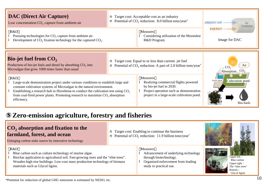

### **Zero-emission agriculture, forestry and fisheries**

### **CO2 absorption and fixation to the farmland, forest, and ocean**

Enlarging carbon sinks source by innovative technology

#### R&D

- l Blue carbon such as culture technology of marine algae.
- l Biochar application to agricultural soil. Fast-growing trees and the "elite trees". Wooden high-rise buildings. Low-cost mass production technology of biomass materials such as Glycol lignin.

#### Measures

n Target cost: Enabling to continue the business **n** Potential of CO<sub>2</sub> reduction: 11.9 billion tons/year<sup>\*</sup>

- l Advancement of underlying technology through biotechnology.
- **l** Organized enforcement from leading study to practical use.









\*Potential for reduction of global GHG emissions is estimated by NEDO, etc.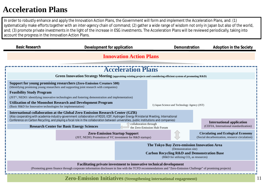## **Acceleration Plans**

In order to robustly enhance and apply the Innovation Action Plans, the Government will form and implement the Acceleration Plans, and: (1) systematically make efforts together with an inter-agency chain of command; (2) gather a wide range of wisdom not only in Japan but also of the world, and; (3) promote private investments in the light of the increase in ESG investments. The Acceleration Plans will be reviewed periodically, taking into account the progress in the Innovation Action Plans.

| <b>Basic Research</b>                                                                                                                                                                                                                                                                                                                                                                                     | Development for application                                                                                                                                           |  | Demonstration                                | <b>Adoption in the Society</b>                                                              |  |  |
|-----------------------------------------------------------------------------------------------------------------------------------------------------------------------------------------------------------------------------------------------------------------------------------------------------------------------------------------------------------------------------------------------------------|-----------------------------------------------------------------------------------------------------------------------------------------------------------------------|--|----------------------------------------------|---------------------------------------------------------------------------------------------|--|--|
| <b>Innovation Action Plans</b>                                                                                                                                                                                                                                                                                                                                                                            |                                                                                                                                                                       |  |                                              |                                                                                             |  |  |
|                                                                                                                                                                                                                                                                                                                                                                                                           |                                                                                                                                                                       |  |                                              |                                                                                             |  |  |
|                                                                                                                                                                                                                                                                                                                                                                                                           | <b>Acceleration Plans</b>                                                                                                                                             |  |                                              |                                                                                             |  |  |
|                                                                                                                                                                                                                                                                                                                                                                                                           | Green Innovation Strategy Meeting (appraising existing projects and considering efficient system of promoting R&D)                                                    |  |                                              |                                                                                             |  |  |
| <b>Feasibility Study Program</b>                                                                                                                                                                                                                                                                                                                                                                          | <b>Support for young promising researchers (Zero-Emission Creators 500)</b><br>(Identifying promising young researchers and supporting joint research with companies) |  |                                              |                                                                                             |  |  |
| $(JST1)$ , NEDO: identifying innovative technologies and fostering demonstration and implementation)                                                                                                                                                                                                                                                                                                      |                                                                                                                                                                       |  |                                              |                                                                                             |  |  |
| <b>Utilization of the Moonshot Research and Development Program</b><br>(Basic R&D for Innovative technologies for implementation)                                                                                                                                                                                                                                                                         |                                                                                                                                                                       |  | 1) Japan Science and Technology Agency (JST) |                                                                                             |  |  |
| <b>International collaboration at the Global Zero Emission Research Center (GZR)</b><br>(Also cooperating with academia-industry-government collaboration of RD20, ICEF, Hydrogen Energy Ministerial Meeting, International<br>Conference on Carbon Recycling, and playing a focal role in the collaboration between universities, public institutions and companies)<br><b>International application</b> |                                                                                                                                                                       |  |                                              |                                                                                             |  |  |
| collaboration through<br><b>Research Center for Basic Energy Sciences</b><br>the Zero-Emission Hub Forum                                                                                                                                                                                                                                                                                                  |                                                                                                                                                                       |  |                                              | (CEFIA, International standardization)                                                      |  |  |
|                                                                                                                                                                                                                                                                                                                                                                                                           | <b>Zero-Emission Startup Support</b><br>(JST, NEDO; Promotion of VC investment for R&D startups)                                                                      |  |                                              | <b>Circulating and Ecological Economy</b><br>(Social decarbonization, resource circulation) |  |  |
| The Tokyo Bay Zero-emission Innovation Area<br>(Demonstration site)<br><b>Carbon Recycling R&amp;D and Demonstration Base</b><br>(R&D for utilizing $CO2$ as resources)                                                                                                                                                                                                                                   |                                                                                                                                                                       |  |                                              |                                                                                             |  |  |
| Facilitating private investment to innovative technical development<br>(Promoting green finance through corporate information disclosure in line with the TCFD recommendations and "Zero-Emission Challenge" of promising projects)                                                                                                                                                                       |                                                                                                                                                                       |  |                                              |                                                                                             |  |  |

**Zero-Emission Initiatives (Strengthening international engagement)**